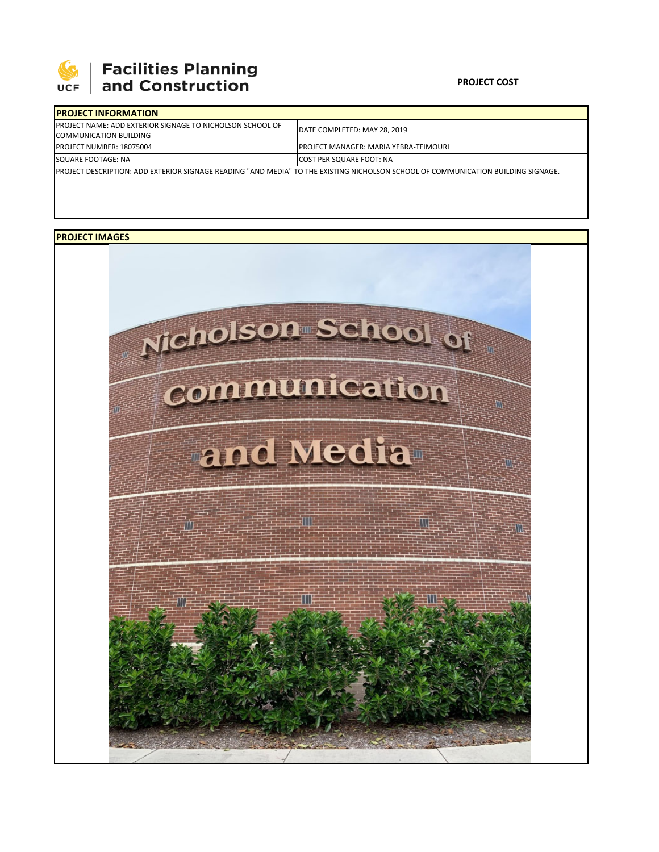

## | Facilities Planning and Construction

## **PROJECT COST**

| <b>IPROJECT INFORMATION</b>                                                                                                       |                                               |
|-----------------------------------------------------------------------------------------------------------------------------------|-----------------------------------------------|
| <b>IPROJECT NAME: ADD EXTERIOR SIGNAGE TO NICHOLSON SCHOOL OF</b>                                                                 | <b>IDATE COMPLETED: MAY 28, 2019</b>          |
| <b>COMMUNICATION BUILDING</b>                                                                                                     |                                               |
| <b>PROJECT NUMBER: 18075004</b>                                                                                                   | <b>IPROJECT MANAGER: MARIA YEBRA-TEIMOURI</b> |
| SQUARE FOOTAGE: NA                                                                                                                | <b>ICOST PER SQUARE FOOT: NA</b>              |
| PROJECT DESCRIPTION: ADD EXTERIOR SIGNAGE READING "AND MEDIA" TO THE EXISTING NICHOLSON SCHOOL OF COMMUNICATION BUILDING SIGNAGE. |                                               |
|                                                                                                                                   |                                               |

## **PROJECT IMAGES**